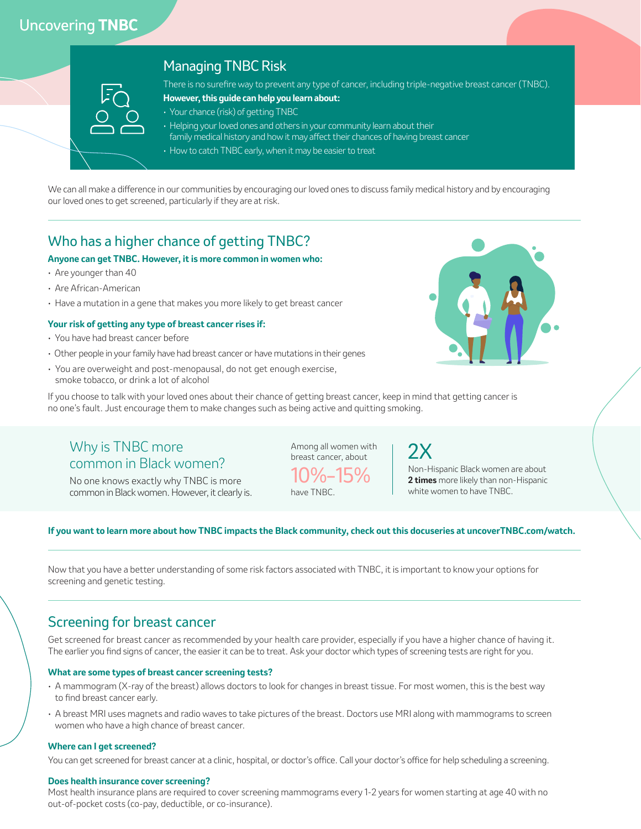# Uncovering **TNBC**

| <b>EO</b> |                 |
|-----------|-----------------|
| g)        |                 |
| $\Box$    | <b>Contract</b> |
|           |                 |

### Managing TNBC Risk

There is no surefire way to prevent any type of cancer, including triple-negative breast cancer (TNBC).

- **However, this guide can help you learn about:**
- Your chance (risk) of getting TNBC
- Helping your loved ones and others in your community learn about their
- family medical history and how it may affect their chances of having breast cancer
- How to catch TNBC early, when it may be easier to treat

We can all make a difference in our communities by encouraging our loved ones to discuss family medical history and by encouraging our loved ones to get screened, particularly if they are at risk.

## Who has a higher chance of getting TNBC?

### **Anyone can get TNBC. However, it is more common in women who:**

- Are younger than 40
- Are African-American
- Have a mutation in a gene that makes you more likely to get breast cancer

#### **Your risk of getting any type of breast cancer rises if:**

- You have had breast cancer before
- Other people in your family have had breast cancer or have mutations in their genes
- You are overweight and post-menopausal, do not get enough exercise, smoke tobacco, or drink a lot of alcohol



If you choose to talk with your loved ones about their chance of getting breast cancer, keep in mind that getting cancer is no one's fault. Just encourage them to make changes such as being active and quitting smoking.

# Why is TNBC more common in Black women?

No one knows exactly why TNBC is more common in Black women. However, it clearly is. Among all women with breast cancer, about

10%–15% have TNBC.

# 2X

Non-Hispanic Black women are about **2 times** more likely than non-Hispanic white women to have TNBC.

#### **If you want to learn more about how TNBC impacts the Black community, check out this docuseries at uncoverTNBC.com/watch.**

Now that you have a better understanding of some risk factors associated with TNBC, it is important to know your options for screening and genetic testing.

### Screening for breast cancer

Get screened for breast cancer as recommended by your health care provider, especially if you have a higher chance of having it. The earlier you find signs of cancer, the easier it can be to treat. Ask your doctor which types of screening tests are right for you.

### **What are some types of breast cancer screening tests?**

- A mammogram (X-ray of the breast) allows doctors to look for changes in breast tissue. For most women, this is the best way to find breast cancer early.
- A breast MRI uses magnets and radio waves to take pictures of the breast. Doctors use MRI along with mammograms to screen women who have a high chance of breast cancer.

#### **Where can I get screened?**

You can get screened for breast cancer at a clinic, hospital, or doctor's office. Call your doctor's office for help scheduling a screening.

#### **Does health insurance cover screening?**

Most health insurance plans are required to cover screening mammograms every 1-2 years for women starting at age 40 with no out-of-pocket costs (co-pay, deductible, or co-insurance).